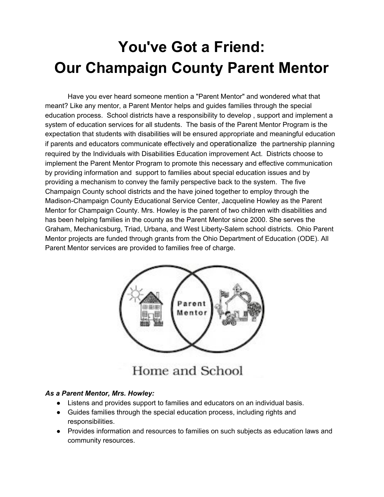## **You've Got a Friend: Our Champaign County Parent Mentor**

Have you ever heard someone mention a "Parent Mentor" and wondered what that meant? Like any mentor, a Parent Mentor helps and guides families through the special education process. School districts have a responsibility to develop , support and implement a system of education services for all students. The basis of the Parent Mentor Program is the expectation that students with disabilities will be ensured appropriate and meaningful education if parents and educators communicate effectively and operationalize the partnership planning required by the Individuals with Disabilities Education improvement Act. Districts choose to implement the Parent Mentor Program to promote this necessary and effective communication by providing information and support to families about special education issues and by providing a mechanism to convey the family perspective back to the system. The five Champaign County school districts and the have joined together to employ through the Madison-Champaign County Educational Service Center, Jacqueline Howley as the Parent Mentor for Champaign County. Mrs. Howley is the parent of two children with disabilities and has been helping families in the county as the Parent Mentor since 2000. She serves the Graham, Mechanicsburg, Triad, Urbana, and West Liberty-Salem school districts. Ohio Parent Mentor projects are funded through grants from the Ohio Department of Education (ODE). All Parent Mentor services are provided to families free of charge.



Home and School

## *As a Parent Mentor, Mrs. Howley:*

- Listens and provides support to families and educators on an individual basis.
- Guides families through the special education process, including rights and responsibilities.
- Provides information and resources to families on such subjects as education laws and community resources.